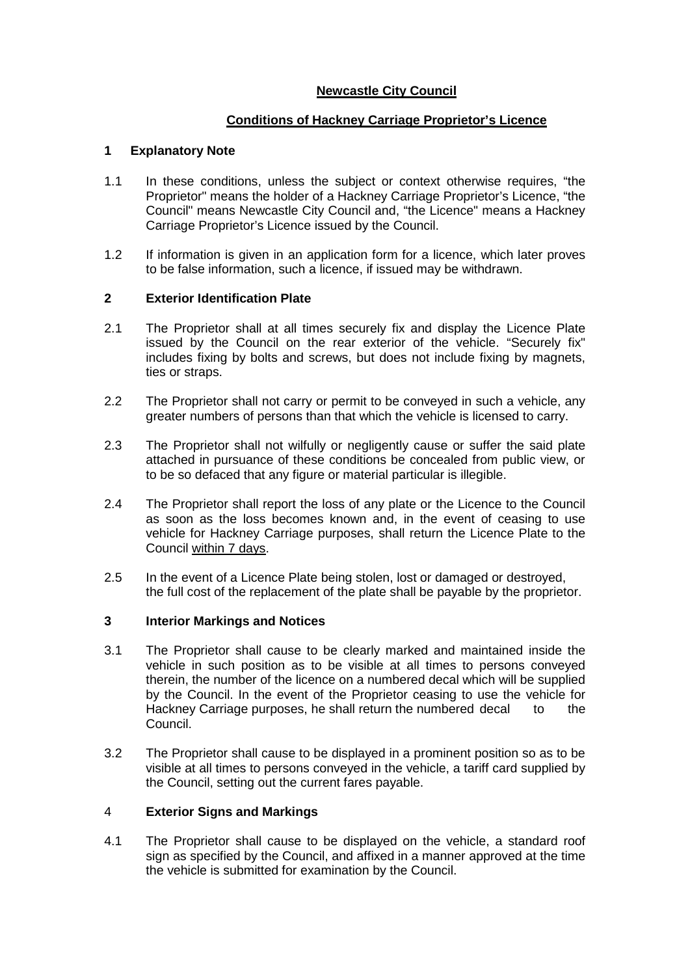# **Newcastle City Council**

# **Conditions of Hackney Carriage Proprietor's Licence**

## **1 Explanatory Note**

- 1.1 In these conditions, unless the subject or context otherwise requires, "the Proprietor" means the holder of a Hackney Carriage Proprietor's Licence, "the Council" means Newcastle City Council and, "the Licence" means a Hackney Carriage Proprietor's Licence issued by the Council.
- 1.2 If information is given in an application form for a licence, which later proves to be false information, such a licence, if issued may be withdrawn.

# **2 Exterior Identification Plate**

- 2.1 The Proprietor shall at all times securely fix and display the Licence Plate issued by the Council on the rear exterior of the vehicle. "Securely fix" includes fixing by bolts and screws, but does not include fixing by magnets, ties or straps.
- 2.2 The Proprietor shall not carry or permit to be conveyed in such a vehicle, any greater numbers of persons than that which the vehicle is licensed to carry.
- 2.3 The Proprietor shall not wilfully or negligently cause or suffer the said plate attached in pursuance of these conditions be concealed from public view, or to be so defaced that any figure or material particular is illegible.
- 2.4 The Proprietor shall report the loss of any plate or the Licence to the Council as soon as the loss becomes known and, in the event of ceasing to use vehicle for Hackney Carriage purposes, shall return the Licence Plate to the Council within 7 days.
- 2.5 In the event of a Licence Plate being stolen, lost or damaged or destroyed, the full cost of the replacement of the plate shall be payable by the proprietor.

## **3 Interior Markings and Notices**

- 3.1 The Proprietor shall cause to be clearly marked and maintained inside the vehicle in such position as to be visible at all times to persons conveyed therein, the number of the licence on a numbered decal which will be supplied by the Council. In the event of the Proprietor ceasing to use the vehicle for Hackney Carriage purposes, he shall return the numbered decal to the Council.
- 3.2 The Proprietor shall cause to be displayed in a prominent position so as to be visible at all times to persons conveyed in the vehicle, a tariff card supplied by the Council, setting out the current fares payable.

## 4 **Exterior Signs and Markings**

4.1 The Proprietor shall cause to be displayed on the vehicle, a standard roof sign as specified by the Council, and affixed in a manner approved at the time the vehicle is submitted for examination by the Council.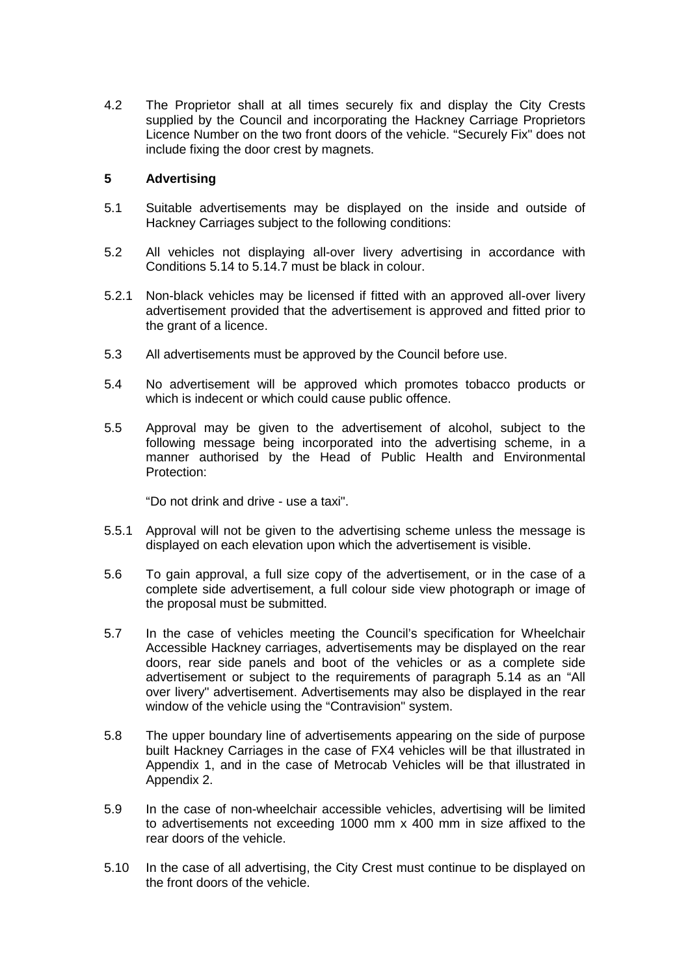4.2 The Proprietor shall at all times securely fix and display the City Crests supplied by the Council and incorporating the Hackney Carriage Proprietors Licence Number on the two front doors of the vehicle. "Securely Fix" does not include fixing the door crest by magnets.

### **5 Advertising**

- 5.1 Suitable advertisements may be displayed on the inside and outside of Hackney Carriages subject to the following conditions:
- 5.2 All vehicles not displaying all-over livery advertising in accordance with Conditions 5.14 to 5.14.7 must be black in colour.
- 5.2.1 Non-black vehicles may be licensed if fitted with an approved all-over livery advertisement provided that the advertisement is approved and fitted prior to the grant of a licence.
- 5.3 All advertisements must be approved by the Council before use.
- 5.4 No advertisement will be approved which promotes tobacco products or which is indecent or which could cause public offence.
- 5.5 Approval may be given to the advertisement of alcohol, subject to the following message being incorporated into the advertising scheme, in a manner authorised by the Head of Public Health and Environmental Protection:

"Do not drink and drive - use a taxi".

- 5.5.1 Approval will not be given to the advertising scheme unless the message is displayed on each elevation upon which the advertisement is visible.
- 5.6 To gain approval, a full size copy of the advertisement, or in the case of a complete side advertisement, a full colour side view photograph or image of the proposal must be submitted.
- 5.7 In the case of vehicles meeting the Council's specification for Wheelchair Accessible Hackney carriages, advertisements may be displayed on the rear doors, rear side panels and boot of the vehicles or as a complete side advertisement or subject to the requirements of paragraph 5.14 as an "All over livery" advertisement. Advertisements may also be displayed in the rear window of the vehicle using the "Contravision" system.
- 5.8 The upper boundary line of advertisements appearing on the side of purpose built Hackney Carriages in the case of FX4 vehicles will be that illustrated in Appendix 1, and in the case of Metrocab Vehicles will be that illustrated in Appendix 2.
- 5.9 In the case of non-wheelchair accessible vehicles, advertising will be limited to advertisements not exceeding 1000 mm x 400 mm in size affixed to the rear doors of the vehicle.
- 5.10 In the case of all advertising, the City Crest must continue to be displayed on the front doors of the vehicle.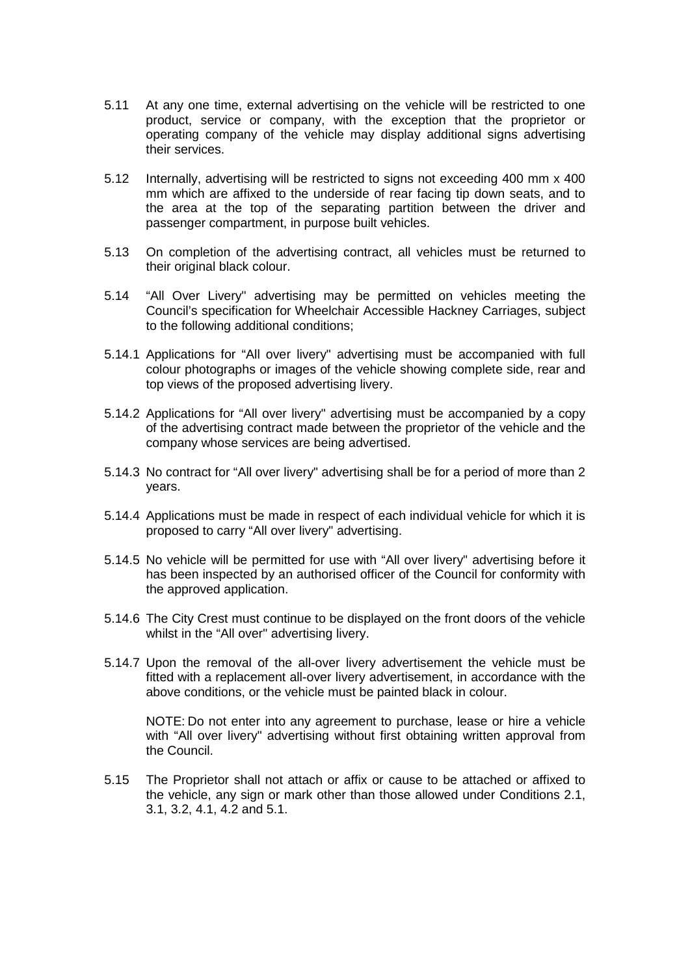- 5.11 At any one time, external advertising on the vehicle will be restricted to one product, service or company, with the exception that the proprietor or operating company of the vehicle may display additional signs advertising their services.
- 5.12 Internally, advertising will be restricted to signs not exceeding 400 mm x 400 mm which are affixed to the underside of rear facing tip down seats, and to the area at the top of the separating partition between the driver and passenger compartment, in purpose built vehicles.
- 5.13 On completion of the advertising contract, all vehicles must be returned to their original black colour.
- 5.14 "All Over Livery" advertising may be permitted on vehicles meeting the Council's specification for Wheelchair Accessible Hackney Carriages, subject to the following additional conditions;
- 5.14.1 Applications for "All over livery" advertising must be accompanied with full colour photographs or images of the vehicle showing complete side, rear and top views of the proposed advertising livery.
- 5.14.2 Applications for "All over livery" advertising must be accompanied by a copy of the advertising contract made between the proprietor of the vehicle and the company whose services are being advertised.
- 5.14.3 No contract for "All over livery" advertising shall be for a period of more than 2 years.
- 5.14.4 Applications must be made in respect of each individual vehicle for which it is proposed to carry "All over livery" advertising.
- 5.14.5 No vehicle will be permitted for use with "All over livery" advertising before it has been inspected by an authorised officer of the Council for conformity with the approved application.
- 5.14.6 The City Crest must continue to be displayed on the front doors of the vehicle whilst in the "All over" advertising livery.
- 5.14.7 Upon the removal of the all-over livery advertisement the vehicle must be fitted with a replacement all-over livery advertisement, in accordance with the above conditions, or the vehicle must be painted black in colour.

NOTE: Do not enter into any agreement to purchase, lease or hire a vehicle with "All over livery" advertising without first obtaining written approval from the Council.

5.15 The Proprietor shall not attach or affix or cause to be attached or affixed to the vehicle, any sign or mark other than those allowed under Conditions 2.1, 3.1, 3.2, 4.1, 4.2 and 5.1.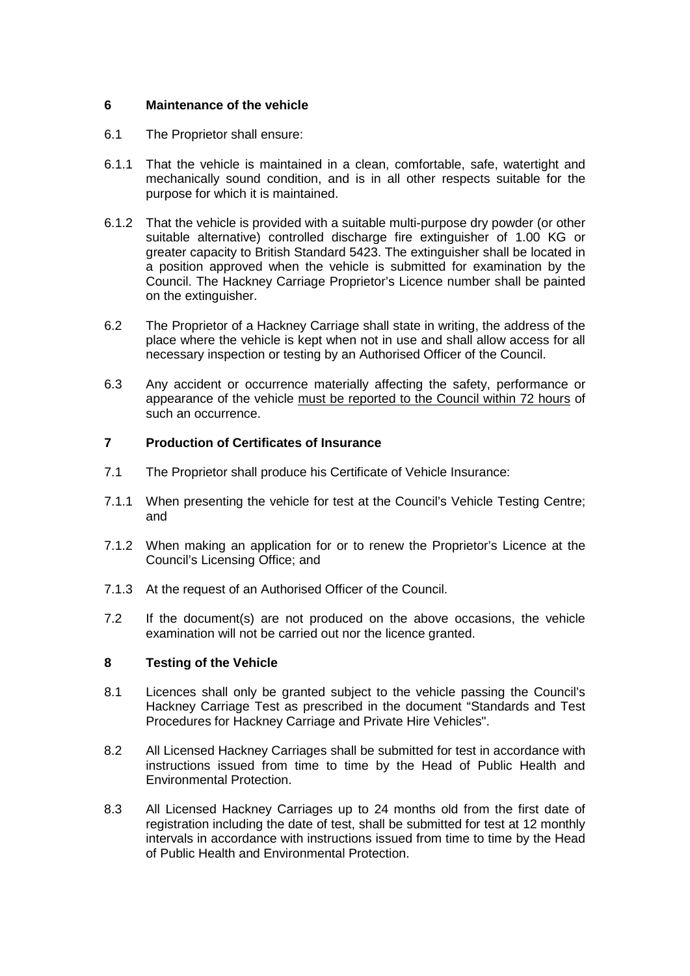## **6 Maintenance of the vehicle**

- 6.1 The Proprietor shall ensure:
- 6.1.1 That the vehicle is maintained in a clean, comfortable, safe, watertight and mechanically sound condition, and is in all other respects suitable for the purpose for which it is maintained.
- 6.1.2 That the vehicle is provided with a suitable multi-purpose dry powder (or other suitable alternative) controlled discharge fire extinguisher of 1.00 KG or greater capacity to British Standard 5423. The extinguisher shall be located in a position approved when the vehicle is submitted for examination by the Council. The Hackney Carriage Proprietor's Licence number shall be painted on the extinguisher.
- 6.2 The Proprietor of a Hackney Carriage shall state in writing, the address of the place where the vehicle is kept when not in use and shall allow access for all necessary inspection or testing by an Authorised Officer of the Council.
- 6.3 Any accident or occurrence materially affecting the safety, performance or appearance of the vehicle must be reported to the Council within 72 hours of such an occurrence.

# **7 Production of Certificates of Insurance**

- 7.1 The Proprietor shall produce his Certificate of Vehicle Insurance:
- 7.1.1 When presenting the vehicle for test at the Council's Vehicle Testing Centre; and
- 7.1.2 When making an application for or to renew the Proprietor's Licence at the Council's Licensing Office; and
- 7.1.3 At the request of an Authorised Officer of the Council.
- 7.2 If the document(s) are not produced on the above occasions, the vehicle examination will not be carried out nor the licence granted.

## **8 Testing of the Vehicle**

- 8.1 Licences shall only be granted subject to the vehicle passing the Council's Hackney Carriage Test as prescribed in the document "Standards and Test Procedures for Hackney Carriage and Private Hire Vehicles".
- 8.2 All Licensed Hackney Carriages shall be submitted for test in accordance with instructions issued from time to time by the Head of Public Health and Environmental Protection.
- 8.3 All Licensed Hackney Carriages up to 24 months old from the first date of registration including the date of test, shall be submitted for test at 12 monthly intervals in accordance with instructions issued from time to time by the Head of Public Health and Environmental Protection.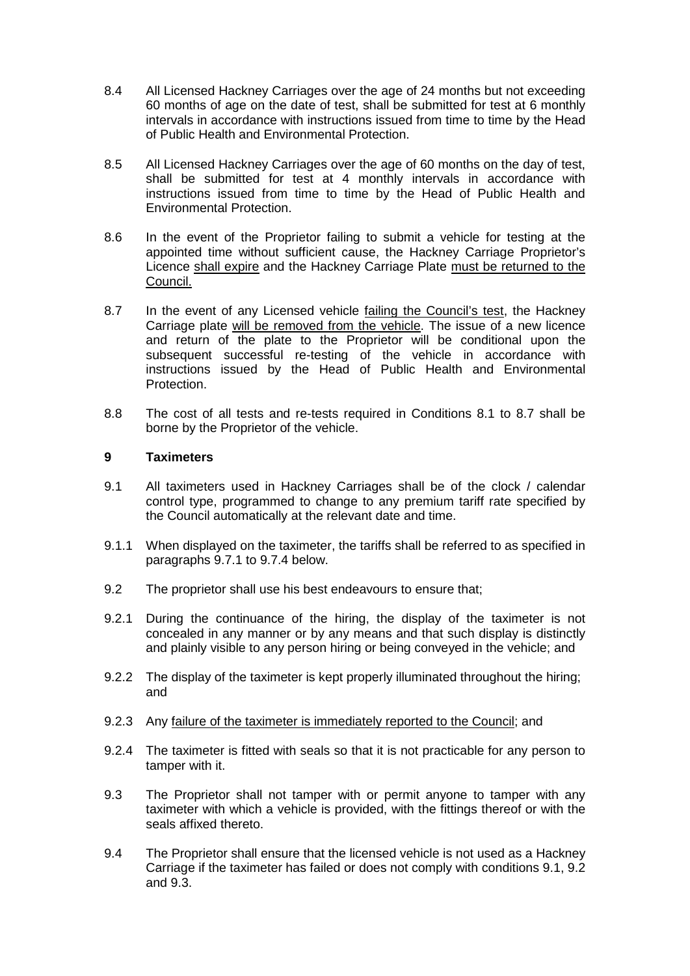- 8.4 All Licensed Hackney Carriages over the age of 24 months but not exceeding 60 months of age on the date of test, shall be submitted for test at 6 monthly intervals in accordance with instructions issued from time to time by the Head of Public Health and Environmental Protection.
- 8.5 All Licensed Hackney Carriages over the age of 60 months on the day of test, shall be submitted for test at 4 monthly intervals in accordance with instructions issued from time to time by the Head of Public Health and Environmental Protection.
- 8.6 In the event of the Proprietor failing to submit a vehicle for testing at the appointed time without sufficient cause, the Hackney Carriage Proprietor's Licence shall expire and the Hackney Carriage Plate must be returned to the Council.
- 8.7 In the event of any Licensed vehicle failing the Council's test, the Hackney Carriage plate will be removed from the vehicle. The issue of a new licence and return of the plate to the Proprietor will be conditional upon the subsequent successful re-testing of the vehicle in accordance with instructions issued by the Head of Public Health and Environmental Protection.
- 8.8 The cost of all tests and re-tests required in Conditions 8.1 to 8.7 shall be borne by the Proprietor of the vehicle.

### **9 Taximeters**

- 9.1 All taximeters used in Hackney Carriages shall be of the clock / calendar control type, programmed to change to any premium tariff rate specified by the Council automatically at the relevant date and time.
- 9.1.1 When displayed on the taximeter, the tariffs shall be referred to as specified in paragraphs 9.7.1 to 9.7.4 below.
- 9.2 The proprietor shall use his best endeavours to ensure that;
- 9.2.1 During the continuance of the hiring, the display of the taximeter is not concealed in any manner or by any means and that such display is distinctly and plainly visible to any person hiring or being conveyed in the vehicle; and
- 9.2.2 The display of the taximeter is kept properly illuminated throughout the hiring; and
- 9.2.3 Any failure of the taximeter is immediately reported to the Council; and
- 9.2.4 The taximeter is fitted with seals so that it is not practicable for any person to tamper with it.
- 9.3 The Proprietor shall not tamper with or permit anyone to tamper with any taximeter with which a vehicle is provided, with the fittings thereof or with the seals affixed thereto.
- 9.4 The Proprietor shall ensure that the licensed vehicle is not used as a Hackney Carriage if the taximeter has failed or does not comply with conditions 9.1, 9.2 and 9.3.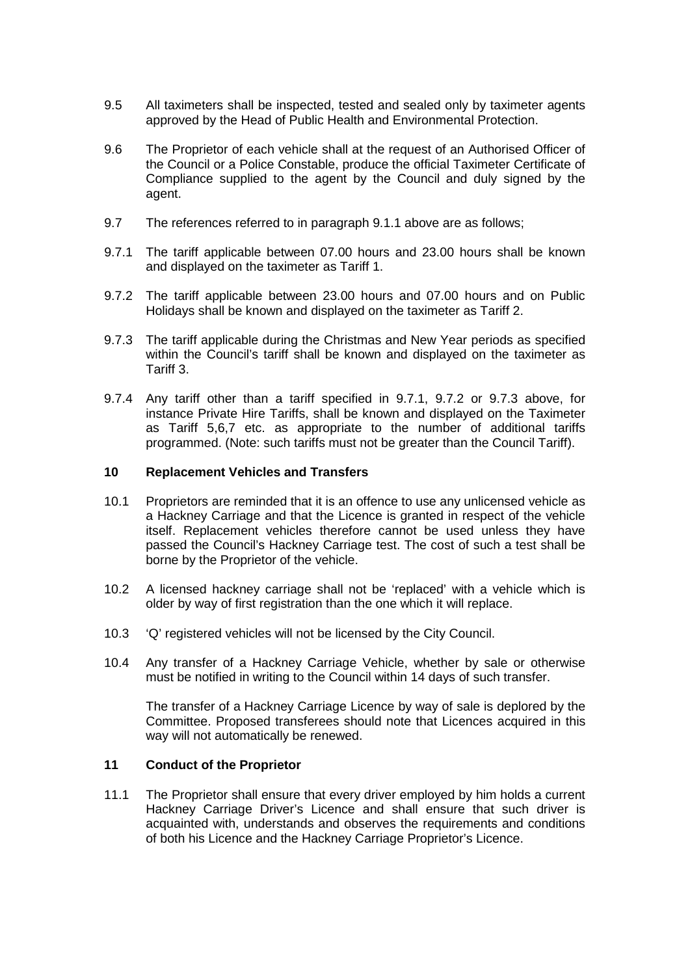- 9.5 All taximeters shall be inspected, tested and sealed only by taximeter agents approved by the Head of Public Health and Environmental Protection.
- 9.6 The Proprietor of each vehicle shall at the request of an Authorised Officer of the Council or a Police Constable, produce the official Taximeter Certificate of Compliance supplied to the agent by the Council and duly signed by the agent.
- 9.7 The references referred to in paragraph 9.1.1 above are as follows;
- 9.7.1 The tariff applicable between 07.00 hours and 23.00 hours shall be known and displayed on the taximeter as Tariff 1.
- 9.7.2 The tariff applicable between 23.00 hours and 07.00 hours and on Public Holidays shall be known and displayed on the taximeter as Tariff 2.
- 9.7.3 The tariff applicable during the Christmas and New Year periods as specified within the Council's tariff shall be known and displayed on the taximeter as Tariff 3.
- 9.7.4 Any tariff other than a tariff specified in 9.7.1, 9.7.2 or 9.7.3 above, for instance Private Hire Tariffs, shall be known and displayed on the Taximeter as Tariff 5,6,7 etc. as appropriate to the number of additional tariffs programmed. (Note: such tariffs must not be greater than the Council Tariff).

### **10 Replacement Vehicles and Transfers**

- 10.1 Proprietors are reminded that it is an offence to use any unlicensed vehicle as a Hackney Carriage and that the Licence is granted in respect of the vehicle itself. Replacement vehicles therefore cannot be used unless they have passed the Council's Hackney Carriage test. The cost of such a test shall be borne by the Proprietor of the vehicle.
- 10.2 A licensed hackney carriage shall not be 'replaced' with a vehicle which is older by way of first registration than the one which it will replace.
- 10.3 'Q' registered vehicles will not be licensed by the City Council.
- 10.4 Any transfer of a Hackney Carriage Vehicle, whether by sale or otherwise must be notified in writing to the Council within 14 days of such transfer.

The transfer of a Hackney Carriage Licence by way of sale is deplored by the Committee. Proposed transferees should note that Licences acquired in this way will not automatically be renewed.

#### **11 Conduct of the Proprietor**

11.1 The Proprietor shall ensure that every driver employed by him holds a current Hackney Carriage Driver's Licence and shall ensure that such driver is acquainted with, understands and observes the requirements and conditions of both his Licence and the Hackney Carriage Proprietor's Licence.